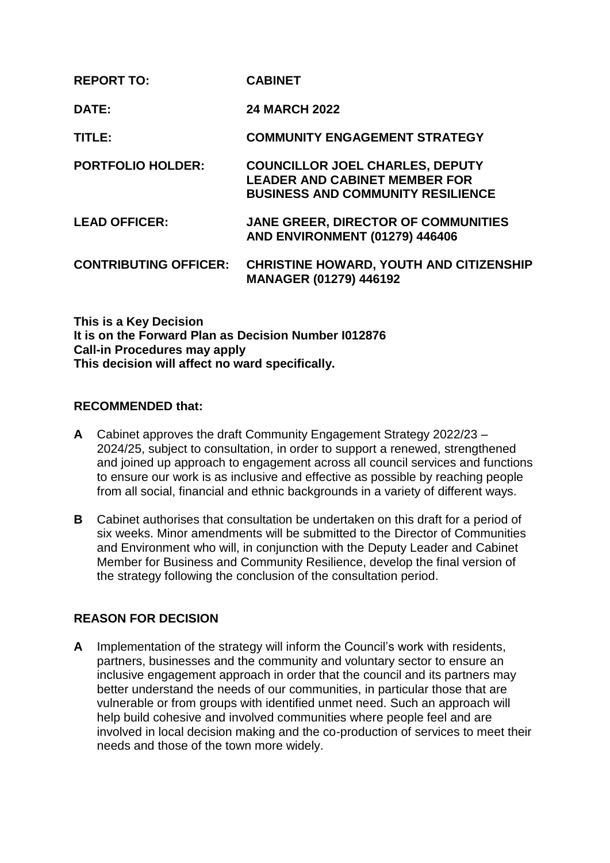| <b>REPORT TO:</b>            | <b>CABINET</b>                                                                                                             |
|------------------------------|----------------------------------------------------------------------------------------------------------------------------|
| DATE:                        | <b>24 MARCH 2022</b>                                                                                                       |
| TITLE:                       | <b>COMMUNITY ENGAGEMENT STRATEGY</b>                                                                                       |
| <b>PORTFOLIO HOLDER:</b>     | <b>COUNCILLOR JOEL CHARLES, DEPUTY</b><br><b>LEADER AND CABINET MEMBER FOR</b><br><b>BUSINESS AND COMMUNITY RESILIENCE</b> |
| <b>LEAD OFFICER:</b>         | <b>JANE GREER, DIRECTOR OF COMMUNITIES</b><br><b>AND ENVIRONMENT (01279) 446406</b>                                        |
| <b>CONTRIBUTING OFFICER:</b> | <b>CHRISTINE HOWARD, YOUTH AND CITIZENSHIP</b><br><b>MANAGER (01279) 446192</b>                                            |

**This is a Key Decision It is on the Forward Plan as Decision Number I012876 Call-in Procedures may apply This decision will affect no ward specifically.**

### **RECOMMENDED that:**

- **A** Cabinet approves the draft Community Engagement Strategy 2022/23 2024/25, subject to consultation, in order to support a renewed, strengthened and joined up approach to engagement across all council services and functions to ensure our work is as inclusive and effective as possible by reaching people from all social, financial and ethnic backgrounds in a variety of different ways.
- **B** Cabinet authorises that consultation be undertaken on this draft for a period of six weeks. Minor amendments will be submitted to the Director of Communities and Environment who will, in conjunction with the Deputy Leader and Cabinet Member for Business and Community Resilience, develop the final version of the strategy following the conclusion of the consultation period.

# **REASON FOR DECISION**

**A** Implementation of the strategy will inform the Council's work with residents, partners, businesses and the community and voluntary sector to ensure an inclusive engagement approach in order that the council and its partners may better understand the needs of our communities, in particular those that are vulnerable or from groups with identified unmet need. Such an approach will help build cohesive and involved communities where people feel and are involved in local decision making and the co-production of services to meet their needs and those of the town more widely.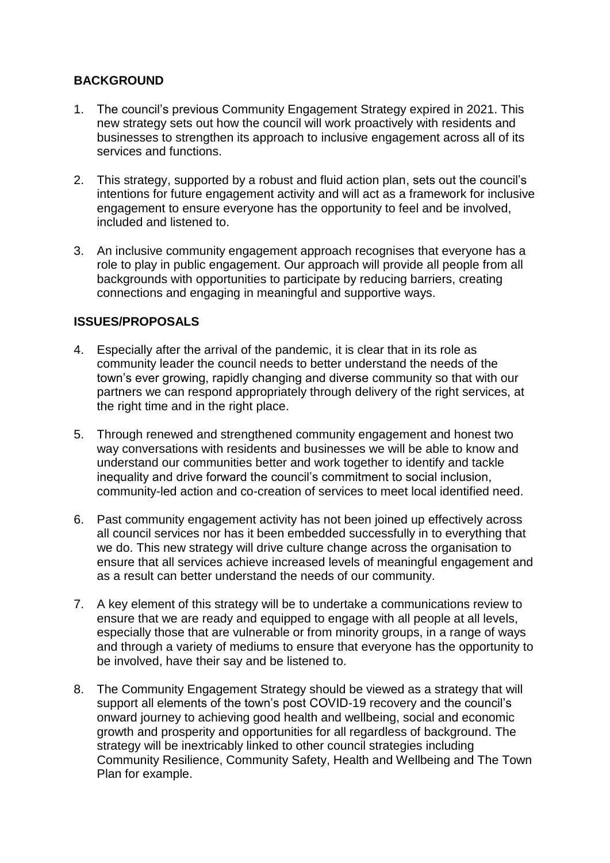## **BACKGROUND**

- 1. The council's previous Community Engagement Strategy expired in 2021. This new strategy sets out how the council will work proactively with residents and businesses to strengthen its approach to inclusive engagement across all of its services and functions.
- 2. This strategy, supported by a robust and fluid action plan, sets out the council's intentions for future engagement activity and will act as a framework for inclusive engagement to ensure everyone has the opportunity to feel and be involved, included and listened to.
- 3. An inclusive community engagement approach recognises that everyone has a role to play in public engagement. Our approach will provide all people from all backgrounds with opportunities to participate by reducing barriers, creating connections and engaging in meaningful and supportive ways.

## **ISSUES/PROPOSALS**

- 4. Especially after the arrival of the pandemic, it is clear that in its role as community leader the council needs to better understand the needs of the town's ever growing, rapidly changing and diverse community so that with our partners we can respond appropriately through delivery of the right services, at the right time and in the right place.
- 5. Through renewed and strengthened community engagement and honest two way conversations with residents and businesses we will be able to know and understand our communities better and work together to identify and tackle inequality and drive forward the council's commitment to social inclusion, community-led action and co-creation of services to meet local identified need.
- 6. Past community engagement activity has not been joined up effectively across all council services nor has it been embedded successfully in to everything that we do. This new strategy will drive culture change across the organisation to ensure that all services achieve increased levels of meaningful engagement and as a result can better understand the needs of our community.
- 7. A key element of this strategy will be to undertake a communications review to ensure that we are ready and equipped to engage with all people at all levels, especially those that are vulnerable or from minority groups, in a range of ways and through a variety of mediums to ensure that everyone has the opportunity to be involved, have their say and be listened to.
- 8. The Community Engagement Strategy should be viewed as a strategy that will support all elements of the town's post COVID-19 recovery and the council's onward journey to achieving good health and wellbeing, social and economic growth and prosperity and opportunities for all regardless of background. The strategy will be inextricably linked to other council strategies including Community Resilience, Community Safety, Health and Wellbeing and The Town Plan for example.